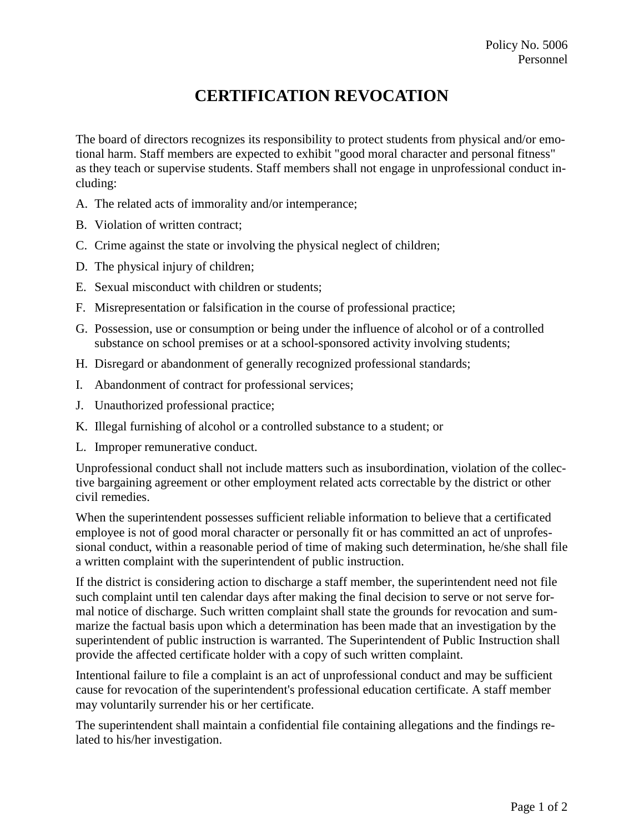## **CERTIFICATION REVOCATION**

The board of directors recognizes its responsibility to protect students from physical and/or emotional harm. Staff members are expected to exhibit "good moral character and personal fitness" as they teach or supervise students. Staff members shall not engage in unprofessional conduct including:

- A. The related acts of immorality and/or intemperance;
- B. Violation of written contract;
- C. Crime against the state or involving the physical neglect of children;
- D. The physical injury of children;
- E. Sexual misconduct with children or students;
- F. Misrepresentation or falsification in the course of professional practice;
- G. Possession, use or consumption or being under the influence of alcohol or of a controlled substance on school premises or at a school-sponsored activity involving students;
- H. Disregard or abandonment of generally recognized professional standards;
- I. Abandonment of contract for professional services;
- J. Unauthorized professional practice;
- K. Illegal furnishing of alcohol or a controlled substance to a student; or
- L. Improper remunerative conduct.

Unprofessional conduct shall not include matters such as insubordination, violation of the collective bargaining agreement or other employment related acts correctable by the district or other civil remedies.

When the superintendent possesses sufficient reliable information to believe that a certificated employee is not of good moral character or personally fit or has committed an act of unprofessional conduct, within a reasonable period of time of making such determination, he/she shall file a written complaint with the superintendent of public instruction.

If the district is considering action to discharge a staff member, the superintendent need not file such complaint until ten calendar days after making the final decision to serve or not serve formal notice of discharge. Such written complaint shall state the grounds for revocation and summarize the factual basis upon which a determination has been made that an investigation by the superintendent of public instruction is warranted. The Superintendent of Public Instruction shall provide the affected certificate holder with a copy of such written complaint.

Intentional failure to file a complaint is an act of unprofessional conduct and may be sufficient cause for revocation of the superintendent's professional education certificate. A staff member may voluntarily surrender his or her certificate.

The superintendent shall maintain a confidential file containing allegations and the findings related to his/her investigation.